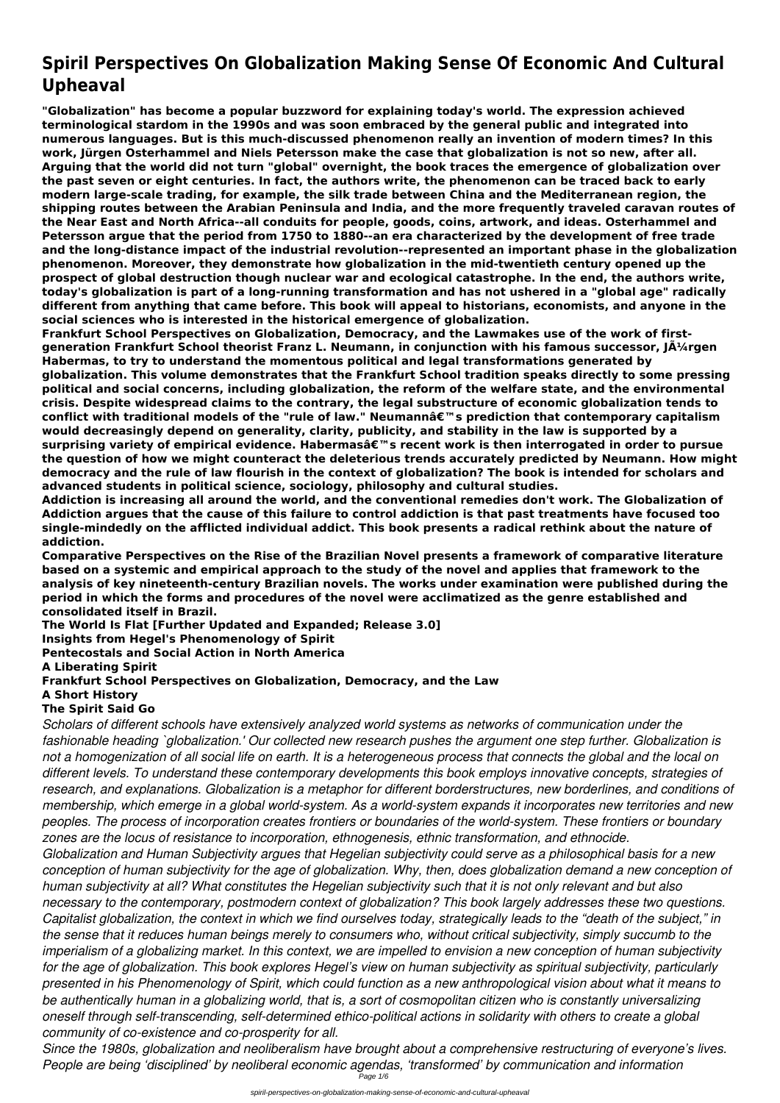# **Spiril Perspectives On Globalization Making Sense Of Economic And Cultural Upheaval**

**"Globalization" has become a popular buzzword for explaining today's world. The expression achieved terminological stardom in the 1990s and was soon embraced by the general public and integrated into numerous languages. But is this much-discussed phenomenon really an invention of modern times? In this work, Jürgen Osterhammel and Niels Petersson make the case that globalization is not so new, after all. Arguing that the world did not turn "global" overnight, the book traces the emergence of globalization over the past seven or eight centuries. In fact, the authors write, the phenomenon can be traced back to early modern large-scale trading, for example, the silk trade between China and the Mediterranean region, the shipping routes between the Arabian Peninsula and India, and the more frequently traveled caravan routes of the Near East and North Africa--all conduits for people, goods, coins, artwork, and ideas. Osterhammel and Petersson argue that the period from 1750 to 1880--an era characterized by the development of free trade and the long-distance impact of the industrial revolution--represented an important phase in the globalization phenomenon. Moreover, they demonstrate how globalization in the mid-twentieth century opened up the prospect of global destruction though nuclear war and ecological catastrophe. In the end, the authors write, today's globalization is part of a long-running transformation and has not ushered in a "global age" radically different from anything that came before. This book will appeal to historians, economists, and anyone in the social sciences who is interested in the historical emergence of globalization.**

**Frankfurt School Perspectives on Globalization, Democracy, and the Lawmakes use of the work of firstgeneration Frankfurt School theorist Franz L. Neumann, in conjunction with his famous successor, Jürgen Habermas, to try to understand the momentous political and legal transformations generated by globalization. This volume demonstrates that the Frankfurt School tradition speaks directly to some pressing political and social concerns, including globalization, the reform of the welfare state, and the environmental crisis. Despite widespread claims to the contrary, the legal substructure of economic globalization tends to** conflict with traditional models of the "rule of law." Neumannâ€<sup>™</sup>s prediction that contemporary capitalism **would decreasingly depend on generality, clarity, publicity, and stability in the law is supported by a** surprising variety of empirical evidence. Habermasâ€<sup>™</sup>s recent work is then interrogated in order to pursue **the question of how we might counteract the deleterious trends accurately predicted by Neumann. How might democracy and the rule of law flourish in the context of globalization? The book is intended for scholars and advanced students in political science, sociology, philosophy and cultural studies.**

**Addiction is increasing all around the world, and the conventional remedies don't work. The Globalization of Addiction argues that the cause of this failure to control addiction is that past treatments have focused too single-mindedly on the afflicted individual addict. This book presents a radical rethink about the nature of addiction.**

**Comparative Perspectives on the Rise of the Brazilian Novel presents a framework of comparative literature based on a systemic and empirical approach to the study of the novel and applies that framework to the analysis of key nineteenth-century Brazilian novels. The works under examination were published during the period in which the forms and procedures of the novel were acclimatized as the genre established and consolidated itself in Brazil.**

**The World Is Flat [Further Updated and Expanded; Release 3.0]**

**Insights from Hegel's Phenomenology of Spirit**

**Pentecostals and Social Action in North America**

**A Liberating Spirit**

### **Frankfurt School Perspectives on Globalization, Democracy, and the Law**

**A Short History**

# **The Spirit Said Go**

*Scholars of different schools have extensively analyzed world systems as networks of communication under the fashionable heading `globalization.' Our collected new research pushes the argument one step further. Globalization is not a homogenization of all social life on earth. It is a heterogeneous process that connects the global and the local on different levels. To understand these contemporary developments this book employs innovative concepts, strategies of research, and explanations. Globalization is a metaphor for different borderstructures, new borderlines, and conditions of membership, which emerge in a global world-system. As a world-system expands it incorporates new territories and new peoples. The process of incorporation creates frontiers or boundaries of the world-system. These frontiers or boundary zones are the locus of resistance to incorporation, ethnogenesis, ethnic transformation, and ethnocide. Globalization and Human Subjectivity argues that Hegelian subjectivity could serve as a philosophical basis for a new conception of human subjectivity for the age of globalization. Why, then, does globalization demand a new conception of human subjectivity at all? What constitutes the Hegelian subjectivity such that it is not only relevant and but also necessary to the contemporary, postmodern context of globalization? This book largely addresses these two questions. Capitalist globalization, the context in which we find ourselves today, strategically leads to the "death of the subject," in the sense that it reduces human beings merely to consumers who, without critical subjectivity, simply succumb to the imperialism of a globalizing market. In this context, we are impelled to envision a new conception of human subjectivity for the age of globalization. This book explores Hegel's view on human subjectivity as spiritual subjectivity, particularly presented in his Phenomenology of Spirit, which could function as a new anthropological vision about what it means to be authentically human in a globalizing world, that is, a sort of cosmopolitan citizen who is constantly universalizing oneself through self-transcending, self-determined ethico-political actions in solidarity with others to create a global community of co-existence and co-prosperity for all. Since the 1980s, globalization and neoliberalism have brought about a comprehensive restructuring of everyone's lives. People are being 'disciplined' by neoliberal economic agendas, 'transformed' by communication and information* Page 1/6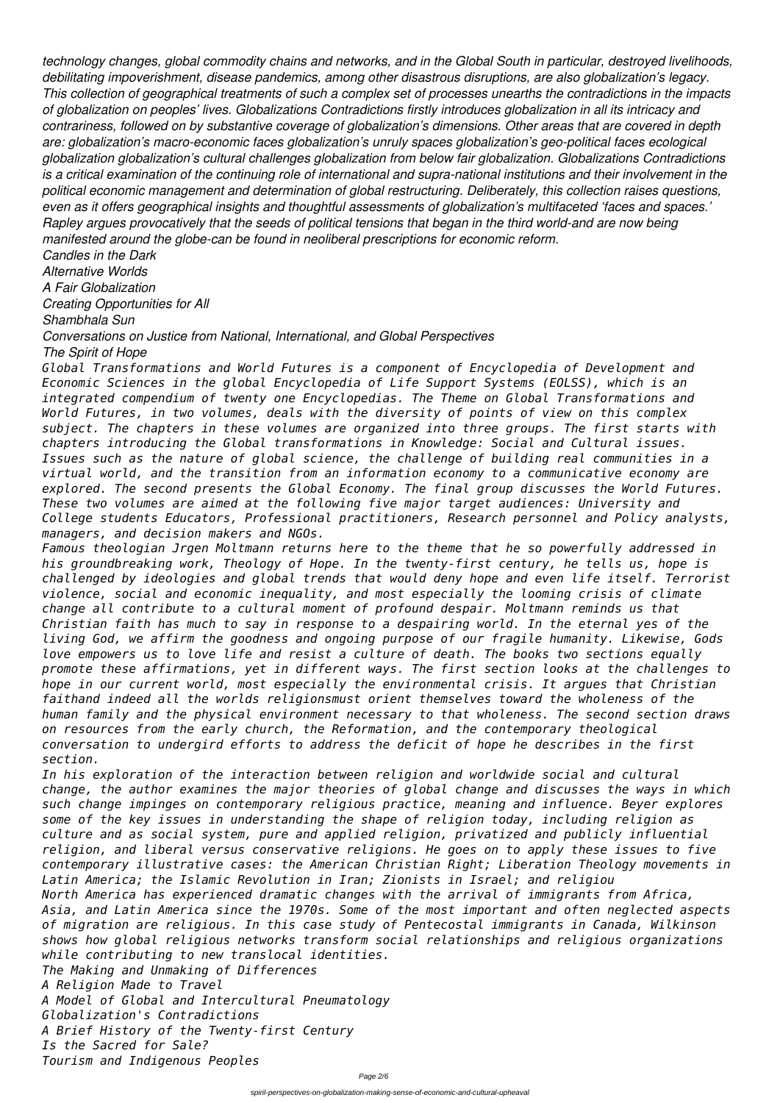*technology changes, global commodity chains and networks, and in the Global South in particular, destroyed livelihoods, debilitating impoverishment, disease pandemics, among other disastrous disruptions, are also globalization's legacy. This collection of geographical treatments of such a complex set of processes unearths the contradictions in the impacts of globalization on peoples' lives. Globalizations Contradictions firstly introduces globalization in all its intricacy and contrariness, followed on by substantive coverage of globalization's dimensions. Other areas that are covered in depth are: globalization's macro-economic faces globalization's unruly spaces globalization's geo-political faces ecological globalization globalization's cultural challenges globalization from below fair globalization. Globalizations Contradictions is a critical examination of the continuing role of international and supra-national institutions and their involvement in the political economic management and determination of global restructuring. Deliberately, this collection raises questions, even as it offers geographical insights and thoughtful assessments of globalization's multifaceted 'faces and spaces.' Rapley argues provocatively that the seeds of political tensions that began in the third world-and are now being manifested around the globe-can be found in neoliberal prescriptions for economic reform.*

*Candles in the Dark*

*Alternative Worlds A Fair Globalization*

*Creating Opportunities for All*

*Shambhala Sun*

*Conversations on Justice from National, International, and Global Perspectives*

*The Spirit of Hope*

*Global Transformations and World Futures is a component of Encyclopedia of Development and Economic Sciences in the global Encyclopedia of Life Support Systems (EOLSS), which is an integrated compendium of twenty one Encyclopedias. The Theme on Global Transformations and World Futures, in two volumes, deals with the diversity of points of view on this complex subject. The chapters in these volumes are organized into three groups. The first starts with chapters introducing the Global transformations in Knowledge: Social and Cultural issues. Issues such as the nature of global science, the challenge of building real communities in a virtual world, and the transition from an information economy to a communicative economy are explored. The second presents the Global Economy. The final group discusses the World Futures. These two volumes are aimed at the following five major target audiences: University and College students Educators, Professional practitioners, Research personnel and Policy analysts, managers, and decision makers and NGOs.*

*Famous theologian Jrgen Moltmann returns here to the theme that he so powerfully addressed in his groundbreaking work, Theology of Hope. In the twenty-first century, he tells us, hope is challenged by ideologies and global trends that would deny hope and even life itself. Terrorist violence, social and economic inequality, and most especially the looming crisis of climate change all contribute to a cultural moment of profound despair. Moltmann reminds us that Christian faith has much to say in response to a despairing world. In the eternal yes of the living God, we affirm the goodness and ongoing purpose of our fragile humanity. Likewise, Gods love empowers us to love life and resist a culture of death. The books two sections equally promote these affirmations, yet in different ways. The first section looks at the challenges to hope in our current world, most especially the environmental crisis. It argues that Christian faithand indeed all the worlds religionsmust orient themselves toward the wholeness of the human family and the physical environment necessary to that wholeness. The second section draws on resources from the early church, the Reformation, and the contemporary theological conversation to undergird efforts to address the deficit of hope he describes in the first section.*

*In his exploration of the interaction between religion and worldwide social and cultural change, the author examines the major theories of global change and discusses the ways in which such change impinges on contemporary religious practice, meaning and influence. Beyer explores some of the key issues in understanding the shape of religion today, including religion as culture and as social system, pure and applied religion, privatized and publicly influential religion, and liberal versus conservative religions. He goes on to apply these issues to five contemporary illustrative cases: the American Christian Right; Liberation Theology movements in Latin America; the Islamic Revolution in Iran; Zionists in Israel; and religiou North America has experienced dramatic changes with the arrival of immigrants from Africa, Asia, and Latin America since the 1970s. Some of the most important and often neglected aspects of migration are religious. In this case study of Pentecostal immigrants in Canada, Wilkinson shows how global religious networks transform social relationships and religious organizations while contributing to new translocal identities. The Making and Unmaking of Differences A Religion Made to Travel A Model of Global and Intercultural Pneumatology Globalization's Contradictions A Brief History of the Twenty-first Century Is the Sacred for Sale? Tourism and Indigenous Peoples*

Page 2/6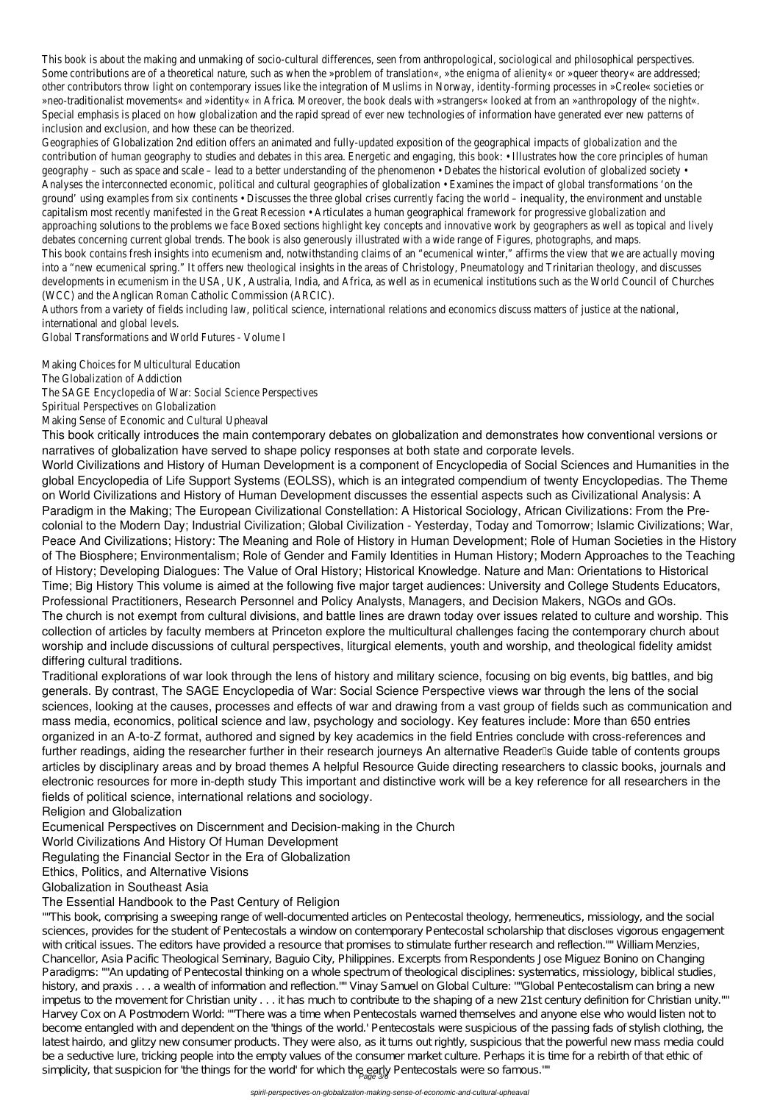This book is about the making and unmaking of socio-cultural differences, seen from anthropological, sociological and philosophical perspectives. Some contributions are of a theoretical nature, such as when the »problem of translation«, »the enigma of alienity« or »queer theory« are addres other contributors throw light on contemporary issues like the integration of Muslims in Norway, identity-forming processes in »Creole« societies »neo-traditionalist movements« and »identity« in Africa. Moreover, the book deals with »strangers« looked at from an »anthropology of the night Special emphasis is placed on how globalization and the rapid spread of ever new technologies of information have generated ever new pattern inclusion and exclusion, and how these can be theorized

Geographies of Globalization 2nd edition offers an animated and fully-updated exposition of the geographical impacts of globalization and contribution of human geography to studies and debates in this area. Energetic and engaging, this book: • Illustrates how the core principles of human geography to studies and debates in this area. Energetic and engaging, geography – such as space and scale – lead to a better understanding of the phenomenon • Debates the historical evolution of globalized soci Analyses the interconnected economic, political and cultural geographies of globalization • Examines the impact of global transformations 'on ground' using examples from six continents • Discusses the three global crises currently facing the world – inequality, the environment and unst capitalism most recently manifested in the Great Recession • Articulates a human geographical framework for progressive globalization approaching solutions to the problems we face Boxed sections highlight key concepts and innovative work by geographers as well as topical and I debates concerning current global trends. The book is also generously illustrated with a wide range of Figures, photographs, and m This book contains fresh insights into ecumenism and, notwithstanding claims of an "ecumenical winter," affirms the view that we are actually mo into a "new ecumenical spring." It offers new theological insights in the areas of Christology, Pneumatology and Trinitarian theology, and discus developments in ecumenism in the USA, UK, Australia, India, and Africa, as well as in ecumenical institutions such as the World Council of Churc (WCC) and the Anglican Roman Catholic Commission (ARCIC).

Authors from a variety of fields including law, political science, international relations and economics discuss matters of justice at the national, international and global levels.

Global Transformations and World Futures - Volume

Making Choices for Multicultural Education The Globalization of Addiction The SAGE Encyclopedia of War: Social Science Perspective Spiritual Perspectives on Globalization Making Sense of Economic and Cultural Upheava

This book critically introduces the main contemporary debates on globalization and demonstrates how conventional versions or narratives of globalization have served to shape policy responses at both state and corporate levels.

""This book, comprising a sweeping range of well-documented articles on Pentecostal theology, hermeneutics, missiology, and the social sciences, provides for the student of Pentecostals a window on contemporary Pentecostal scholarship that discloses vigorous engagement with critical issues. The editors have provided a resource that promises to stimulate further research and reflection."" William Menzies, Chancellor, Asia Pacific Theological Seminary, Baguio City, Philippines. Excerpts from Respondents Jose Miguez Bonino on Changing Paradigms: ""An updating of Pentecostal thinking on a whole spectrum of theological disciplines: systematics, missiology, biblical studies, history, and praxis . . . a wealth of information and reflection."" Vinay Samuel on Global Culture: ""Global Pentecostalism can bring a new impetus to the movement for Christian unity . . . it has much to contribute to the shaping of a new 21st century definition for Christian unity."" Harvey Cox on A Postmodern World: ""There was a time when Pentecostals warned themselves and anyone else who would listen not to become entangled with and dependent on the 'things of the world.' Pentecostals were suspicious of the passing fads of stylish clothing, the latest hairdo, and glitzy new consumer products. They were also, as it turns out rightly, suspicious that the powerful new mass media could be a seductive lure, tricking people into the empty values of the consumer market culture. Perhaps it is time for a rebirth of that ethic of simplicity, that suspicion for 'the things for the world' for which the early Pentecostals were so famous.""<br>Page 3%

World Civilizations and History of Human Development is a component of Encyclopedia of Social Sciences and Humanities in the global Encyclopedia of Life Support Systems (EOLSS), which is an integrated compendium of twenty Encyclopedias. The Theme on World Civilizations and History of Human Development discusses the essential aspects such as Civilizational Analysis: A Paradigm in the Making; The European Civilizational Constellation: A Historical Sociology, African Civilizations: From the Precolonial to the Modern Day; Industrial Civilization; Global Civilization - Yesterday, Today and Tomorrow; Islamic Civilizations; War, Peace And Civilizations; History: The Meaning and Role of History in Human Development; Role of Human Societies in the History of The Biosphere; Environmentalism; Role of Gender and Family Identities in Human History; Modern Approaches to the Teaching of History; Developing Dialogues: The Value of Oral History; Historical Knowledge. Nature and Man: Orientations to Historical Time; Big History This volume is aimed at the following five major target audiences: University and College Students Educators, Professional Practitioners, Research Personnel and Policy Analysts, Managers, and Decision Makers, NGOs and GOs. The church is not exempt from cultural divisions, and battle lines are drawn today over issues related to culture and worship. This collection of articles by faculty members at Princeton explore the multicultural challenges facing the contemporary church about worship and include discussions of cultural perspectives, liturgical elements, youth and worship, and theological fidelity amidst differing cultural traditions.

Traditional explorations of war look through the lens of history and military science, focusing on big events, big battles, and big generals. By contrast, The SAGE Encyclopedia of War: Social Science Perspective views war through the lens of the social sciences, looking at the causes, processes and effects of war and drawing from a vast group of fields such as communication and mass media, economics, political science and law, psychology and sociology. Key features include: More than 650 entries organized in an A-to-Z format, authored and signed by key academics in the field Entries conclude with cross-references and further readings, aiding the researcher further in their research journeys An alternative Reader<sup>®</sup>s Guide table of contents groups articles by disciplinary areas and by broad themes A helpful Resource Guide directing researchers to classic books, journals and electronic resources for more in-depth study This important and distinctive work will be a key reference for all researchers in the fields of political science, international relations and sociology.

Religion and Globalization

Ecumenical Perspectives on Discernment and Decision-making in the Church

# World Civilizations And History Of Human Development Regulating the Financial Sector in the Era of Globalization Ethics, Politics, and Alternative Visions Globalization in Southeast Asia

### The Essential Handbook to the Past Century of Religion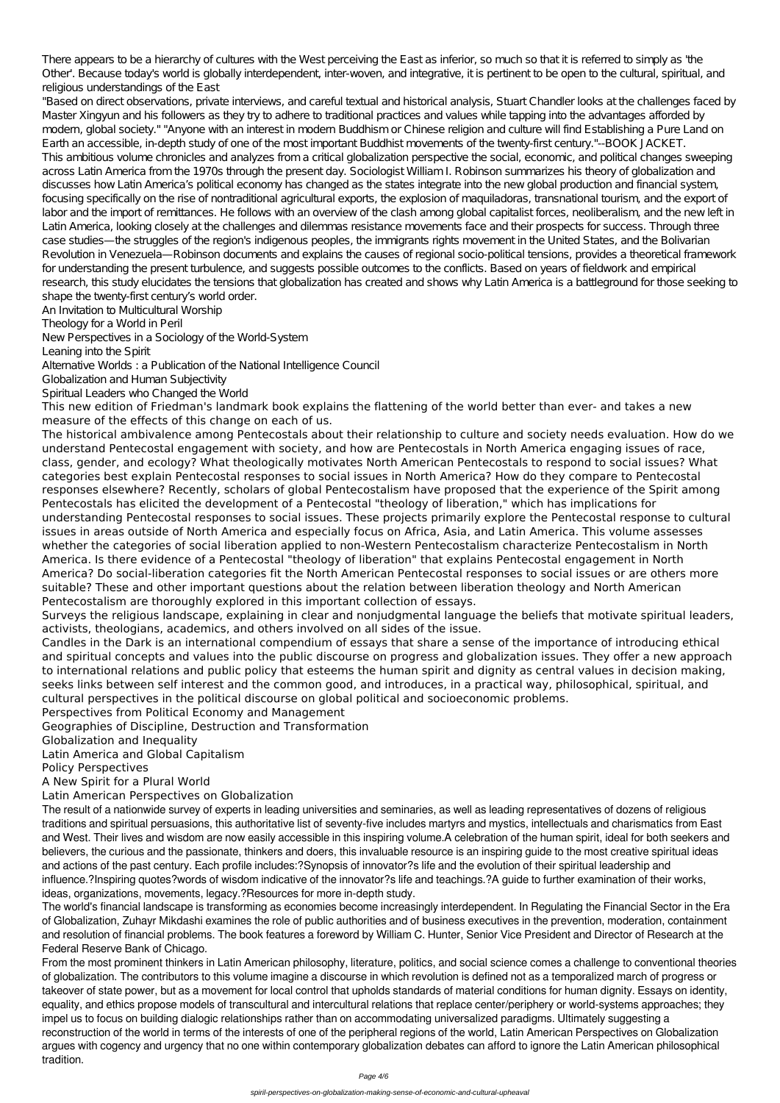There appears to be a hierarchy of cultures with the West perceiving the East as inferior, so much so that it is referred to simply as 'the Other'. Because today's world is globally interdependent, inter-woven, and integrative, it is pertinent to be open to the cultural, spiritual, and religious understandings of the East

"Based on direct observations, private interviews, and careful textual and historical analysis, Stuart Chandler looks at the challenges faced by Master Xingyun and his followers as they try to adhere to traditional practices and values while tapping into the advantages afforded by modern, global society." "Anyone with an interest in modern Buddhism or Chinese religion and culture will find Establishing a Pure Land on Earth an accessible, in-depth study of one of the most important Buddhist movements of the twenty-first century."--BOOK JACKET. This ambitious volume chronicles and analyzes from a critical globalization perspective the social, economic, and political changes sweeping across Latin America from the 1970s through the present day. Sociologist William I. Robinson summarizes his theory of globalization and discusses how Latin America's political economy has changed as the states integrate into the new global production and financial system, focusing specifically on the rise of nontraditional agricultural exports, the explosion of maguiladoras, transnational tourism, and the export of labor and the import of remittances. He follows with an overview of the clash among global capitalist forces, neoliberalism, and the new left in Latin America, looking closely at the challenges and dilemmas resistance movements face and their prospects for success. Through three case studies—the struggles of the region's indigenous peoples, the immigrants rights movement in the United States, and the Bolivarian Revolution in Venezuela—Robinson documents and explains the causes of regional socio-political tensions, provides a theoretical framework for understanding the present turbulence, and suggests possible outcomes to the conflicts. Based on years of fieldwork and empirical research, this study elucidates the tensions that globalization has created and shows why Latin America is a battleground for those seeking to shape the twenty-first century's world order.

An Invitation to Multicultural Worship

Theology for a World in Peril

New Perspectives in a Sociology of the World-System

Leaning into the Spirit

Alternative Worlds : a Publication of the National Intelligence Council

Globalization and Human Subjectivity

Spiritual Leaders who Changed the World

This new edition of Friedman's landmark book explains the flattening of the world better than ever- and takes a new measure of the effects of this change on each of us.

The historical ambivalence among Pentecostals about their relationship to culture and society needs evaluation. How do we understand Pentecostal engagement with society, and how are Pentecostals in North America engaging issues of race, class, gender, and ecology? What theologically motivates North American Pentecostals to respond to social issues? What categories best explain Pentecostal responses to social issues in North America? How do they compare to Pentecostal responses elsewhere? Recently, scholars of global Pentecostalism have proposed that the experience of the Spirit among Pentecostals has elicited the development of a Pentecostal "theology of liberation," which has implications for understanding Pentecostal responses to social issues. These projects primarily explore the Pentecostal response to cultural issues in areas outside of North America and especially focus on Africa, Asia, and Latin America. This volume assesses whether the categories of social liberation applied to non-Western Pentecostalism characterize Pentecostalism in North America. Is there evidence of a Pentecostal "theology of liberation" that explains Pentecostal engagement in North America? Do social-liberation categories fit the North American Pentecostal responses to social issues or are others more suitable? These and other important questions about the relation between liberation theology and North American Pentecostalism are thoroughly explored in this important collection of essays.

Surveys the religious landscape, explaining in clear and nonjudgmental language the beliefs that motivate spiritual leaders, activists, theologians, academics, and others involved on all sides of the issue.

Candles in the Dark is an international compendium of essays that share a sense of the importance of introducing ethical and spiritual concepts and values into the public discourse on progress and globalization issues. They offer a new approach to international relations and public policy that esteems the human spirit and dignity as central values in decision making, seeks links between self interest and the common good, and introduces, in a practical way, philosophical, spiritual, and cultural perspectives in the political discourse on global political and socioeconomic problems.

Perspectives from Political Economy and Management

Geographies of Discipline, Destruction and Transformation

Globalization and Inequality

Latin America and Global Capitalism

Policy Perspectives

A New Spirit for a Plural World

Latin American Perspectives on Globalization

The result of a nationwide survey of experts in leading universities and seminaries, as well as leading representatives of dozens of religious traditions and spiritual persuasions, this authoritative list of seventy-five includes martyrs and mystics, intellectuals and charismatics from East and West. Their lives and wisdom are now easily accessible in this inspiring volume.A celebration of the human spirit, ideal for both seekers and believers, the curious and the passionate, thinkers and doers, this invaluable resource is an inspiring guide to the most creative spiritual ideas and actions of the past century. Each profile includes:?Synopsis of innovator?s life and the evolution of their spiritual leadership and influence.?Inspiring quotes?words of wisdom indicative of the innovator?s life and teachings.?A guide to further examination of their works, ideas, organizations, movements, legacy.?Resources for more in-depth study. The world's financial landscape is transforming as economies become increasingly interdependent. In Regulating the Financial Sector in the Era of Globalization, Zuhayr Mikdashi examines the role of public authorities and of business executives in the prevention, moderation, containment and resolution of financial problems. The book features a foreword by William C. Hunter, Senior Vice President and Director of Research at the Federal Reserve Bank of Chicago. From the most prominent thinkers in Latin American philosophy, literature, politics, and social science comes a challenge to conventional theories of globalization. The contributors to this volume imagine a discourse in which revolution is defined not as a temporalized march of progress or takeover of state power, but as a movement for local control that upholds standards of material conditions for human dignity. Essays on identity, equality, and ethics propose models of transcultural and intercultural relations that replace center/periphery or world-systems approaches; they impel us to focus on building dialogic relationships rather than on accommodating universalized paradigms. Ultimately suggesting a reconstruction of the world in terms of the interests of one of the peripheral regions of the world, Latin American Perspectives on Globalization argues with cogency and urgency that no one within contemporary globalization debates can afford to ignore the Latin American philosophical tradition.

Page 4/6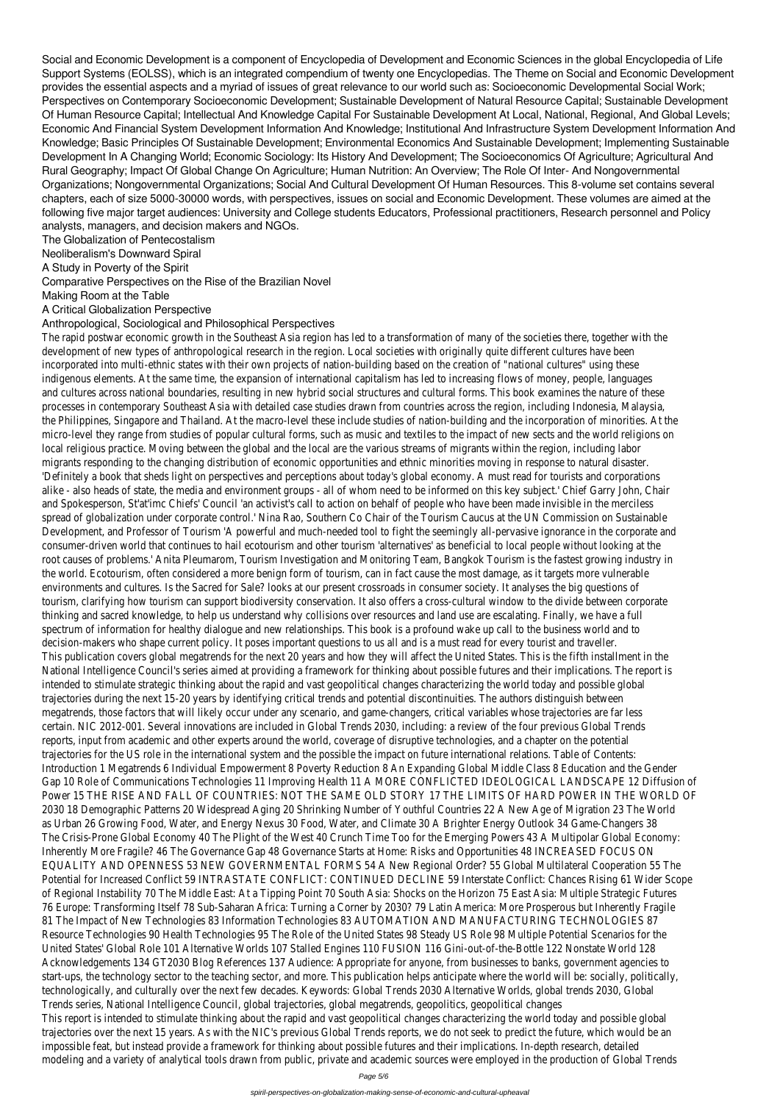Social and Economic Development is a component of Encyclopedia of Development and Economic Sciences in the global Encyclopedia of Life Support Systems (EOLSS), which is an integrated compendium of twenty one Encyclopedias. The Theme on Social and Economic Development provides the essential aspects and a myriad of issues of great relevance to our world such as: Socioeconomic Developmental Social Work; Perspectives on Contemporary Socioeconomic Development; Sustainable Development of Natural Resource Capital; Sustainable Development Of Human Resource Capital; Intellectual And Knowledge Capital For Sustainable Development At Local, National, Regional, And Global Levels; Economic And Financial System Development Information And Knowledge; Institutional And Infrastructure System Development Information And Knowledge; Basic Principles Of Sustainable Development; Environmental Economics And Sustainable Development; Implementing Sustainable Development In A Changing World; Economic Sociology: Its History And Development; The Socioeconomics Of Agriculture; Agricultural And Rural Geography; Impact Of Global Change On Agriculture; Human Nutrition: An Overview; The Role Of Inter- And Nongovernmental Organizations; Nongovernmental Organizations; Social And Cultural Development Of Human Resources. This 8-volume set contains several chapters, each of size 5000-30000 words, with perspectives, issues on social and Economic Development. These volumes are aimed at the following five major target audiences: University and College students Educators, Professional practitioners, Research personnel and Policy analysts, managers, and decision makers and NGOs.

The Globalization of Pentecostalism

Neoliberalism's Downward Spiral

A Study in Poverty of the Spirit

Comparative Perspectives on the Rise of the Brazilian Novel

Making Room at the Table

A Critical Globalization Perspective

#### Anthropological, Sociological and Philosophical Perspectives

The rapid postwar economic growth in the Southeast Asia region has led to a transformation of many of the societies there, together with the development of new types of anthropological research in the region. Local societies with originally quite different cultures have been incorporated into multi-ethnic states with their own projects of nation-building based on the creation of "national cultures" using these indigenous elements. At the same time, the expansion of international capitalism has led to increasing flows of money, people, languages and cultures across national boundaries, resulting in new hybrid social structures and cultural forms. This book examines the nature of these processes in contemporary Southeast Asia with detailed case studies drawn from countries across the region, including Indonesia, Malaysia, the Philippines, Singapore and Thailand. At the macro-level these include studies of nation-building and the incorporation of minorities. At the micro-level they range from studies of popular cultural forms, such as music and textiles to the impact of new sects and the world religions on local religious practice. Moving between the global and the local are the various streams of migrants within the region, including labor migrants responding to the changing distribution of economic opportunities and ethnic minorities moving in response to natural disaster. 'Definitely a book that sheds light on perspectives and perceptions about today's global economy. A must read for tourists and corporations alike - also heads of state, the media and environment groups - all of whom need to be informed on this key subject.' Chief Garry John, Chair and Spokesperson, St'at'imc Chiefs' Council 'an activist's call to action on behalf of people who have been made invisible in the merciless spread of globalization under corporate control.' Nina Rao, Southern Co Chair of the Tourism Caucus at the UN Commission on Sustainable Development, and Professor of Tourism 'A powerful and much-needed tool to fight the seemingly all-pervasive ignorance in the corporate and consumer-driven world that continues to hail ecotourism and other tourism 'alternatives' as beneficial to local people without looking at the root causes of problems.' Anita Pleumarom, Tourism Investigation and Monitoring Team, Bangkok Tourism is the fastest growing industry in the world. Ecotourism, often considered a more benign form of tourism, can in fact cause the most damage, as it targets more vulnerable environments and cultures. Is the Sacred for Sale? looks at our present crossroads in consumer society. It analyses the big questions of tourism, clarifying how tourism can support biodiversity conservation. It also offers a cross-cultural window to the divide between corporate thinking and sacred knowledge, to help us understand why collisions over resources and land use are escalating. Finally, we have a full spectrum of information for healthy dialogue and new relationships. This book is a profound wake up call to the business world and to decision-makers who shape current policy. It poses important questions to us all and is a must read for every tourist and traveller. This publication covers global megatrends for the next 20 years and how they will affect the United States. This is the fifth installment in the National Intelligence Council's series aimed at providing a framework for thinking about possible futures and their implications. The report is intended to stimulate strategic thinking about the rapid and vast geopolitical changes characterizing the world today and possible global trajectories during the next 15-20 years by identifying critical trends and potential discontinuities. The authors distinguish between megatrends, those factors that will likely occur under any scenario, and game-changers, critical variables whose trajectories are far less certain. NIC 2012-001. Several innovations are included in Global Trends 2030, including: a review of the four previous Global Trends reports, input from academic and other experts around the world, coverage of disruptive technologies, and a chapter on the potential trajectories for the US role in the international system and the possible the impact on future international relations. Table of Contents: Introduction 1 Megatrends 6 Individual Empowerment 8 Poverty Reduction 8 An Expanding Global Middle Class 8 Education and the Gender Gap 10 Role of Communications Technologies 11 Improving Health 11 A MORE CONFLICTED IDEOLOGICAL LANDSCAPE 12 Diffusion of Power 15 THE RISE AND FALL OF COUNTRIES: NOT THE SAME OLD STORY 17 THE LIMITS OF HARD POWER IN THE WORLD OF 2030 18 Demographic Patterns 20 Widespread Aging 20 Shrinking Number of Youthful Countries 22 A New Age of Migration 23 The World as Urban 26 Growing Food, Water, and Energy Nexus 30 Food, Water, and Climate 30 A Brighter Energy Outlook 34 Game-Changers 38 The Crisis-Prone Global Economy 40 The Plight of the West 40 Crunch Time Too for the Emerging Powers 43 A Multipolar Global Economy: Inherently More Fragile? 46 The Governance Gap 48 Governance Starts at Home: Risks and Opportunities 48 INCREASED FOCUS ON EQUALITY AND OPENNESS 53 NEW GOVERNMENTAL FORMS 54 A New Regional Order? 55 Global Multilateral Cooperation 55 The Potential for Increased Conflict 59 INTRASTATE CONFLICT: CONTINUED DECLINE 59 Interstate Conflict: Chances Rising 61 Wider Scope of Regional Instability 70 The Middle East: At a Tipping Point 70 South Asia: Shocks on the Horizon 75 East Asia: Multiple Strategic Futures 76 Europe: Transforming Itself 78 Sub-Saharan Africa: Turning a Corner by 2030? 79 Latin America: More Prosperous but Inherently Fragile 81 The Impact of New Technologies 83 Information Technologies 83 AUTOMATION AND MANUFACTURING TECHNOLOGIES 87 Resource Technologies 90 Health Technologies 95 The Role of the United States 98 Steady US Role 98 Multiple Potential Scenarios for the United States' Global Role 101 Alternative Worlds 107 Stalled Engines 110 FUSION 116 Gini-out-of-the-Bottle 122 Nonstate World 128 Acknowledgements 134 GT2030 Blog References 137 Audience: Appropriate for anyone, from businesses to banks, government agencies to start-ups, the technology sector to the teaching sector, and more. This publication helps anticipate where the world will be: socially, politically, technologically, and culturally over the next few decades. Keywords: Global Trends 2030 Alternative Worlds, global trends 2030, Global Trends series, National Intelligence Council, global trajectories, global megatrends, geopolitics, geopolitical changes This report is intended to stimulate thinking about the rapid and vast geopolitical changes characterizing the world today and possible global trajectories over the next 15 years. As with the NIC's previous Global Trends reports, we do not seek to predict the future, which would be an impossible feat, but instead provide a framework for thinking about possible futures and their implications. In-depth research, detailed modeling and a variety of analytical tools drawn from public, private and academic sources were employed in the production of Global Trends

Page 5/6